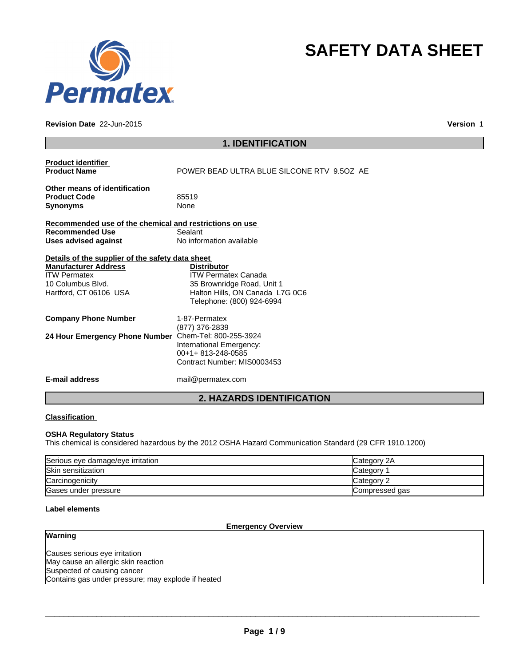

#### **Revision Date** 22-Jun-2015

**Version** 1

**SAFETY DATA SHEET**

|                                                         | <b>1. IDENTIFICATION</b>                   |
|---------------------------------------------------------|--------------------------------------------|
| <b>Product identifier</b>                               |                                            |
| <b>Product Name</b>                                     | POWER BEAD ULTRA BLUE SILCONE RTV 9.5OZ AE |
| Other means of identification                           |                                            |
| <b>Product Code</b>                                     | 85519                                      |
| <b>Synonyms</b>                                         | None                                       |
| Recommended use of the chemical and restrictions on use |                                            |
| <b>Recommended Use</b>                                  | Sealant                                    |
| <b>Uses advised against</b>                             | No information available                   |
| Details of the supplier of the safety data sheet        |                                            |
| <b>Manufacturer Address</b>                             | <b>Distributor</b>                         |
| <b>ITW Permatex</b>                                     | <b>ITW Permatex Canada</b>                 |
| 10 Columbus Blvd.                                       | 35 Brownridge Road, Unit 1                 |
| Hartford, CT 06106 USA                                  | Halton Hills, ON Canada L7G 0C6            |
|                                                         | Telephone: (800) 924-6994                  |
| <b>Company Phone Number</b>                             | 1-87-Permatex                              |
|                                                         | (877) 376-2839                             |
| 24 Hour Emergency Phone Number                          | Chem-Tel: 800-255-3924                     |
|                                                         | International Emergency:                   |
|                                                         | 00+1+813-248-0585                          |
|                                                         | Contract Number: MIS0003453                |
| <b>E-mail address</b>                                   | mail@permatex.com                          |
|                                                         | <b>2. HAZARDS IDENTIFICATION</b>           |

# **Classification**

### **OSHA Regulatory Status**

This chemical is considered hazardous by the 2012 OSHA Hazard Communication Standard (29 CFR 1910.1200)

| Serious eye damage/eye irritation | Category 2A    |
|-----------------------------------|----------------|
| <b>Skin sensitization</b>         | Category       |
| Carcinogenicity                   | Category 2     |
| Gases under pressure              | Compressed gas |

# **Label elements**

**Warning**

# **Emergency Overview**

Causes serious eye irritation May cause an allergic skin reaction Suspected of causing cancer Contains gas under pressure; may explode if heated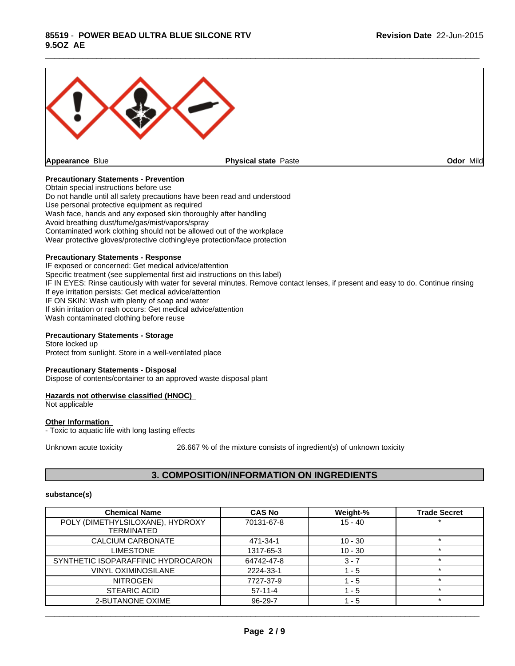

\_\_\_\_\_\_\_\_\_\_\_\_\_\_\_\_\_\_\_\_\_\_\_\_\_\_\_\_\_\_\_\_\_\_\_\_\_\_\_\_\_\_\_\_\_\_\_\_\_\_\_\_\_\_\_\_\_\_\_\_\_\_\_\_\_\_\_\_\_\_\_\_\_\_\_\_\_\_\_\_\_\_\_\_\_\_\_\_\_\_\_\_\_

# **Precautionary Statements - Prevention**

Obtain special instructions before use Do not handle until all safety precautions have been read and understood Use personal protective equipment as required Wash face, hands and any exposed skin thoroughly after handling Avoid breathing dust/fume/gas/mist/vapors/spray Contaminated work clothing should not be allowed out of the workplace Wear protective gloves/protective clothing/eye protection/face protection

#### **Precautionary Statements - Response**

IF exposed or concerned: Get medical advice/attention Specific treatment (see supplemental first aid instructions on this label) IF IN EYES: Rinse cautiously with water for several minutes. Remove contact lenses, if present and easy to do. Continue rinsing If eye irritation persists: Get medical advice/attention IF ON SKIN: Wash with plenty of soap and water If skin irritation or rash occurs: Get medical advice/attention Wash contaminated clothing before reuse

### **Precautionary Statements - Storage**

Store locked up Protect from sunlight. Store in a well-ventilated place

#### **Precautionary Statements - Disposal**

Dispose of contents/container to an approved waste disposal plant

#### **Hazards not otherwise classified (HNOC)**

Not applicable

#### **Other Information**

- Toxic to aquatic life with long lasting effects

Unknown acute toxicity 26.667 % of the mixture consists of ingredient(s) of unknown toxicity

# **3. COMPOSITION/INFORMATION ON INGREDIENTS**

#### **substance(s)**

| <b>Chemical Name</b>                                  | <b>CAS No</b> | Weight-%  | <b>Trade Secret</b> |
|-------------------------------------------------------|---------------|-----------|---------------------|
| POLY (DIMETHYLSILOXANE), HYDROXY<br><b>TERMINATED</b> | 70131-67-8    | $15 - 40$ |                     |
| CALCIUM CARBONATE                                     | 471-34-1      | $10 - 30$ |                     |
| LIMESTONE                                             | 1317-65-3     | $10 - 30$ |                     |
| SYNTHETIC ISOPARAFFINIC HYDROCARON                    | 64742-47-8    | $3 - 7$   | $\star$             |
| <b>VINYL OXIMINOSILANE</b>                            | 2224-33-1     | $-5$      |                     |
| <b>NITROGEN</b>                                       | 7727-37-9     | 1 - 5     | $\star$             |
| <b>STEARIC ACID</b>                                   | $57-11-4$     | - 5       |                     |
| 2-BUTANONE OXIME                                      | 96-29-7       | $-5$      | $\star$             |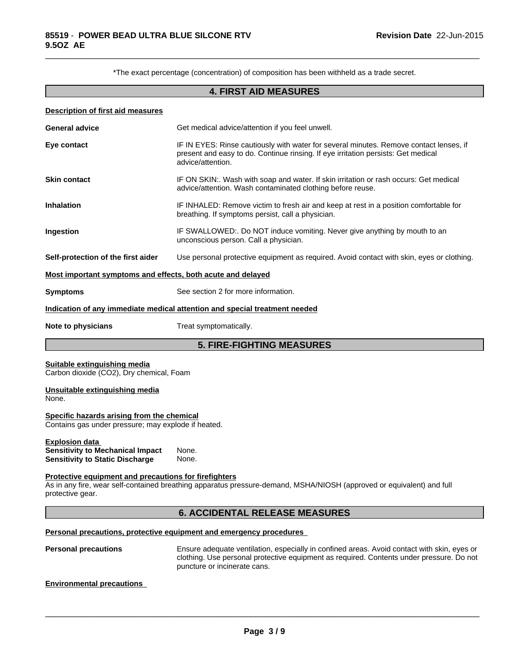\*The exact percentage (concentration) of composition has been withheld as a trade secret.

\_\_\_\_\_\_\_\_\_\_\_\_\_\_\_\_\_\_\_\_\_\_\_\_\_\_\_\_\_\_\_\_\_\_\_\_\_\_\_\_\_\_\_\_\_\_\_\_\_\_\_\_\_\_\_\_\_\_\_\_\_\_\_\_\_\_\_\_\_\_\_\_\_\_\_\_\_\_\_\_\_\_\_\_\_\_\_\_\_\_\_\_\_

# **4. FIRST AID MEASURES**

| <b>Description of first aid measures</b>                                                                          |                                                                                                                                                                                                  |
|-------------------------------------------------------------------------------------------------------------------|--------------------------------------------------------------------------------------------------------------------------------------------------------------------------------------------------|
| <b>General advice</b>                                                                                             | Get medical advice/attention if you feel unwell.                                                                                                                                                 |
| Eye contact                                                                                                       | IF IN EYES: Rinse cautiously with water for several minutes. Remove contact lenses, if<br>present and easy to do. Continue rinsing. If eye irritation persists: Get medical<br>advice/attention. |
| <b>Skin contact</b>                                                                                               | IF ON SKIN:. Wash with soap and water. If skin irritation or rash occurs: Get medical<br>advice/attention. Wash contaminated clothing before reuse.                                              |
| <b>Inhalation</b>                                                                                                 | IF INHALED: Remove victim to fresh air and keep at rest in a position comfortable for<br>breathing. If symptoms persist, call a physician.                                                       |
| Ingestion                                                                                                         | IF SWALLOWED:. Do NOT induce vomiting. Never give anything by mouth to an<br>unconscious person. Call a physician.                                                                               |
| Self-protection of the first aider                                                                                | Use personal protective equipment as required. Avoid contact with skin, eyes or clothing.                                                                                                        |
| <u>Most important symptoms and effects, both acute and delayed</u>                                                |                                                                                                                                                                                                  |
| Symptoms                                                                                                          | See section 2 for more information.                                                                                                                                                              |
|                                                                                                                   | <u>Indication of any immediate medical attention and special treatment needed</u>                                                                                                                |
| Note to physicians                                                                                                | Treat symptomatically.                                                                                                                                                                           |
|                                                                                                                   | <b>5. FIRE-FIGHTING MEASURES</b>                                                                                                                                                                 |
| <b>Suitable extinguishing media</b><br>Carbon dioxide (CO2), Dry chemical, Foam<br>Unsuitable extinguishing media |                                                                                                                                                                                                  |
| None.<br>Specific hazards arising from the chemical<br>Contains gas under pressure; may explode if heated.        |                                                                                                                                                                                                  |
| <b>Explosion data</b><br><b>Sensitivity to Mechanical Impact</b><br><b>Sensitivity to Static Discharge</b>        | None.<br>None.                                                                                                                                                                                   |
|                                                                                                                   |                                                                                                                                                                                                  |
| <b>Protective equipment and precautions for firefighters</b><br>protective gear.                                  | As in any fire, wear self-contained breathing apparatus pressure-demand, MSHA/NIOSH (approved or equivalent) and full                                                                            |

**Personal precautions** Ensure adequate ventilation, especially in confined areas. Avoid contact with skin, eyes or clothing. Use personal protective equipment as required. Contents under pressure. Do not puncture or incinerate cans.

 $\overline{\phantom{a}}$  ,  $\overline{\phantom{a}}$  ,  $\overline{\phantom{a}}$  ,  $\overline{\phantom{a}}$  ,  $\overline{\phantom{a}}$  ,  $\overline{\phantom{a}}$  ,  $\overline{\phantom{a}}$  ,  $\overline{\phantom{a}}$  ,  $\overline{\phantom{a}}$  ,  $\overline{\phantom{a}}$  ,  $\overline{\phantom{a}}$  ,  $\overline{\phantom{a}}$  ,  $\overline{\phantom{a}}$  ,  $\overline{\phantom{a}}$  ,  $\overline{\phantom{a}}$  ,  $\overline{\phantom{a}}$ 

### **Environmental precautions**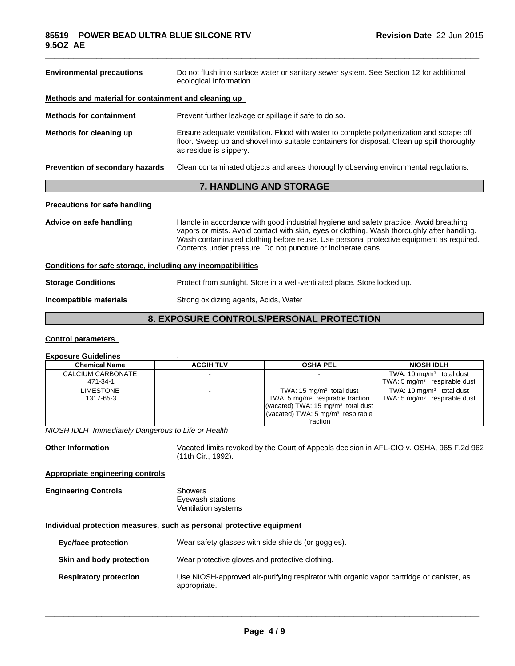| <b>Environmental precautions</b>                             | Do not flush into surface water or sanitary sewer system. See Section 12 for additional<br>ecological Information.                                                                                                                                                                                                                               |
|--------------------------------------------------------------|--------------------------------------------------------------------------------------------------------------------------------------------------------------------------------------------------------------------------------------------------------------------------------------------------------------------------------------------------|
| Methods and material for containment and cleaning up         |                                                                                                                                                                                                                                                                                                                                                  |
| <b>Methods for containment</b>                               | Prevent further leakage or spillage if safe to do so.                                                                                                                                                                                                                                                                                            |
| Methods for cleaning up                                      | Ensure adequate ventilation. Flood with water to complete polymerization and scrape off<br>floor. Sweep up and shovel into suitable containers for disposal. Clean up spill thoroughly<br>as residue is slippery.                                                                                                                                |
| Prevention of secondary hazards                              | Clean contaminated objects and areas thoroughly observing environmental regulations.                                                                                                                                                                                                                                                             |
|                                                              | <b>7. HANDLING AND STORAGE</b>                                                                                                                                                                                                                                                                                                                   |
| <b>Precautions for safe handling</b>                         |                                                                                                                                                                                                                                                                                                                                                  |
| Advice on safe handling                                      | Handle in accordance with good industrial hygiene and safety practice. Avoid breathing<br>vapors or mists. Avoid contact with skin, eyes or clothing. Wash thoroughly after handling.<br>Wash contaminated clothing before reuse. Use personal protective equipment as required.<br>Contents under pressure. Do not puncture or incinerate cans. |
| Conditions for safe storage, including any incompatibilities |                                                                                                                                                                                                                                                                                                                                                  |
| <b>Storage Conditions</b>                                    | Protect from sunlight. Store in a well-ventilated place. Store locked up.                                                                                                                                                                                                                                                                        |
| Incompatible materials                                       | Strong oxidizing agents, Acids, Water                                                                                                                                                                                                                                                                                                            |
|                                                              |                                                                                                                                                                                                                                                                                                                                                  |

\_\_\_\_\_\_\_\_\_\_\_\_\_\_\_\_\_\_\_\_\_\_\_\_\_\_\_\_\_\_\_\_\_\_\_\_\_\_\_\_\_\_\_\_\_\_\_\_\_\_\_\_\_\_\_\_\_\_\_\_\_\_\_\_\_\_\_\_\_\_\_\_\_\_\_\_\_\_\_\_\_\_\_\_\_\_\_\_\_\_\_\_\_

# **8. EXPOSURE CONTROLS/PERSONAL PROTECTION**

# **Control parameters**

#### **Exposure Guidelines** . **Chemical Name**  $\begin{array}{|c|c|c|c|c|}\n\hline\n\text{ACGIH TLV} & \text{OSHA PEL} & \text{NIOSH IDLH}\n\hline\n\end{array}$ CALCIUM CARBONATE | | 471-34-1 - TWA: 10 mg/m<sup>3</sup> total dust TWA: 5 mg/m<sup>3</sup> respirable dust | **LIMESTONE**  1317-65-3 - TWA: 15 mg/m<sup>3</sup> total dust T TWA: 5 mg/m<sup>3</sup> respirable fraction respirable fraction | TWA: 5 mg/m<sup>3</sup> respirable dust | (vacated) TWA: 15 mg/m<sup>3</sup> total dust (vacated) TWA: 5 mg/m<sup>3</sup> respirable fraction TWA: 10 mg/m<sup>3</sup> total dust |

*NIOSH IDLH Immediately Dangerous to Life or Health*

**Other Information** Vacated limits revoked by the Court of Appeals decision in AFL-CIO v. OSHA, 965 F.2d 962 (11th Cir., 1992).

# **Appropriate engineering controls**

| <b>Engineering Controls</b> | Showers             |
|-----------------------------|---------------------|
|                             | Eyewash stations    |
|                             | Ventilation systems |

# **Individual protection measures, such as personal protective equipment**

| Eye/face protection           | Wear safety glasses with side shields (or goggles).                                                      |
|-------------------------------|----------------------------------------------------------------------------------------------------------|
| Skin and body protection      | Wear protective gloves and protective clothing.                                                          |
| <b>Respiratory protection</b> | Use NIOSH-approved air-purifying respirator with organic vapor cartridge or canister, as<br>appropriate. |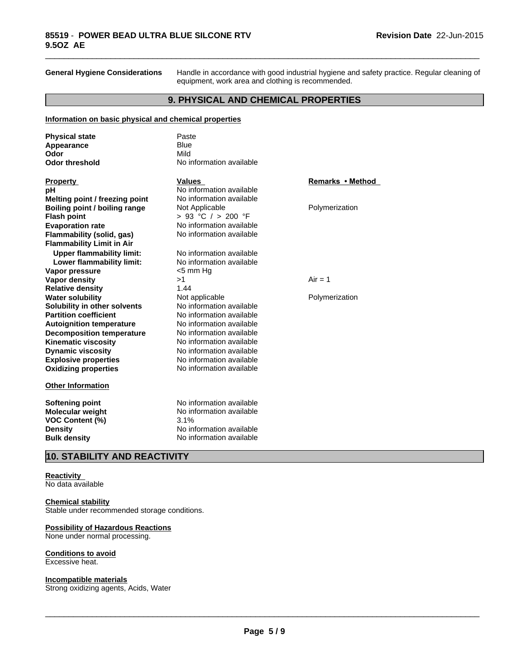**General Hygiene Considerations** Handle in accordance with good industrial hygiene and safety practice. Regular cleaning of equipment, work area and clothing is recommended.

\_\_\_\_\_\_\_\_\_\_\_\_\_\_\_\_\_\_\_\_\_\_\_\_\_\_\_\_\_\_\_\_\_\_\_\_\_\_\_\_\_\_\_\_\_\_\_\_\_\_\_\_\_\_\_\_\_\_\_\_\_\_\_\_\_\_\_\_\_\_\_\_\_\_\_\_\_\_\_\_\_\_\_\_\_\_\_\_\_\_\_\_\_

# **9. PHYSICAL AND CHEMICAL PROPERTIES**

### **Information on basic physical and chemical properties**

| <b>Physical state</b>            | Paste                    |                  |
|----------------------------------|--------------------------|------------------|
| Appearance                       | <b>Blue</b>              |                  |
| Odor                             | Mild                     |                  |
| <b>Odor threshold</b>            | No information available |                  |
| <b>Property</b>                  | <b>Values</b>            | Remarks • Method |
| рH                               | No information available |                  |
| Melting point / freezing point   | No information available |                  |
| Boiling point / boiling range    | Not Applicable           | Polymerization   |
| <b>Flash point</b>               | > 93 °C / > 200 °F       |                  |
| <b>Evaporation rate</b>          | No information available |                  |
| <b>Flammability (solid, gas)</b> | No information available |                  |
| <b>Flammability Limit in Air</b> |                          |                  |
| <b>Upper flammability limit:</b> | No information available |                  |
| Lower flammability limit:        | No information available |                  |
| Vapor pressure                   | $<$ 5 mm Hg              |                  |
| <b>Vapor density</b>             | >1                       | $Air = 1$        |
| <b>Relative density</b>          | 1.44                     |                  |
| <b>Water solubility</b>          | Not applicable           | Polymerization   |
| Solubility in other solvents     | No information available |                  |
| <b>Partition coefficient</b>     | No information available |                  |
| <b>Autoignition temperature</b>  | No information available |                  |
| <b>Decomposition temperature</b> | No information available |                  |
| <b>Kinematic viscosity</b>       | No information available |                  |
| <b>Dynamic viscosity</b>         | No information available |                  |
| <b>Explosive properties</b>      | No information available |                  |
| <b>Oxidizing properties</b>      | No information available |                  |
| <b>Other Information</b>         |                          |                  |
| <b>Softening point</b>           | No information available |                  |
| <b>Molecular weight</b>          | No information available |                  |
| VOC Content (%)                  | 3.1%                     |                  |
| <b>Density</b>                   | No information available |                  |
| <b>Bulk density</b>              | No information available |                  |

# **10. STABILITY AND REACTIVITY**

#### **Reactivity**

No data available

#### **Chemical stability**

Stable under recommended storage conditions.

#### **Possibility of Hazardous Reactions**

None under normal processing.

#### **Conditions to avoid**

Excessive heat.

#### **Incompatible materials**

Strong oxidizing agents, Acids, Water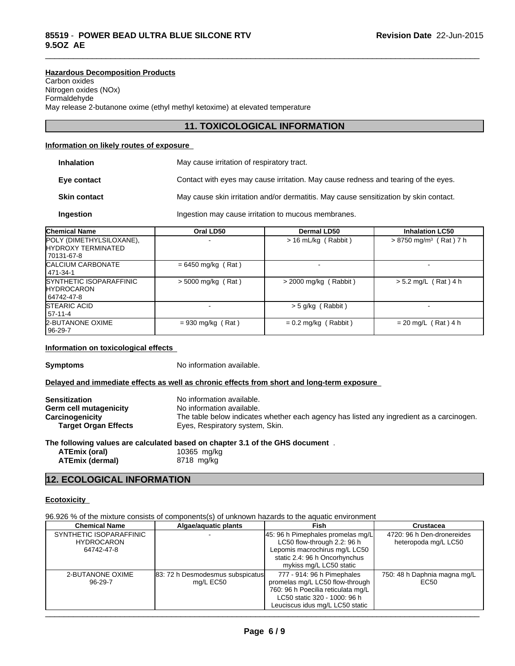**Hazardous Decomposition Products** Carbon oxides Nitrogen oxides (NOx) Formaldehyde May release 2-butanone oxime (ethyl methyl ketoxime) at elevated temperature

# **11. TOXICOLOGICAL INFORMATION**

\_\_\_\_\_\_\_\_\_\_\_\_\_\_\_\_\_\_\_\_\_\_\_\_\_\_\_\_\_\_\_\_\_\_\_\_\_\_\_\_\_\_\_\_\_\_\_\_\_\_\_\_\_\_\_\_\_\_\_\_\_\_\_\_\_\_\_\_\_\_\_\_\_\_\_\_\_\_\_\_\_\_\_\_\_\_\_\_\_\_\_\_\_

# **Information on likely routes of exposure**

| <b>Inhalation</b>   | May cause irritation of respiratory tract.                                            |
|---------------------|---------------------------------------------------------------------------------------|
| Eye contact         | Contact with eyes may cause irritation. May cause redness and tearing of the eyes.    |
| <b>Skin contact</b> | May cause skin irritation and/or dermatitis. May cause sensitization by skin contact. |
| Ingestion           | Ingestion may cause irritation to mucous membranes.                                   |

| <b>Chemical Name</b>                                                  | Oral LD50            | Dermal LD50             | <b>Inhalation LC50</b>               |
|-----------------------------------------------------------------------|----------------------|-------------------------|--------------------------------------|
| POLY (DIMETHYLSILOXANE),<br><b>HYDROXY TERMINATED</b><br>l 70131-67-8 |                      | $> 16$ mL/kg (Rabbit)   | $> 8750$ mg/m <sup>3</sup> (Rat) 7 h |
| <b>CALCIUM CARBONATE</b><br>  471-34-1                                | $= 6450$ mg/kg (Rat) |                         |                                      |
| SYNTHETIC ISOPARAFFINIC<br><b>IHYDROCARON</b><br>  64742-47-8         | $>$ 5000 mg/kg (Rat) | $>$ 2000 mg/kg (Rabbit) | $> 5.2$ mg/L (Rat) 4 h               |
| <b>ISTEARIC ACID</b><br>57-11-4                                       |                      | $> 5$ g/kg (Rabbit)     |                                      |
| 2-BUTANONE OXIME<br>  96-29-7                                         | $= 930$ mg/kg (Rat)  | $= 0.2$ mg/kg (Rabbit)  | $= 20$ mg/L (Rat) 4 h                |

#### **Information on toxicological effects**

**Symptoms** No information available.

#### **Delayed and immediate effects as well as chronic effects from short and long-term exposure**

| <b>Sensitization</b>        | No information available.                                                                |
|-----------------------------|------------------------------------------------------------------------------------------|
| Germ cell mutagenicity      | No information available.                                                                |
| Carcinogenicity             | The table below indicates whether each agency has listed any ingredient as a carcinogen. |
| <b>Target Organ Effects</b> | Eyes, Respiratory system, Skin.                                                          |

# **The following values are calculated based on chapter 3.1 of the GHS document** .

**ATEmix (dermal)** 

**ATEmix (oral)** 10365 mg/kg<br>**ATEmix (dermal)** 8718 mg/kg

# **12. ECOLOGICAL INFORMATION**

### **Ecotoxicity**

96.926 % of the mixture consists of components(s) of unknown hazards to the aquatic environment

| <b>Chemical Name</b>    | Algae/aguatic plants             | Fish                               | <b>Crustacea</b>             |
|-------------------------|----------------------------------|------------------------------------|------------------------------|
| SYNTHETIC ISOPARAFFINIC |                                  | 45: 96 h Pimephales promelas mg/L  | 4720: 96 h Den-dronereides   |
| <b>HYDROCARON</b>       |                                  | LC50 flow-through 2.2: 96 h        | heteropoda mg/L LC50         |
| 64742-47-8              |                                  | Lepomis macrochirus mg/L LC50      |                              |
|                         |                                  | static 2.4: 96 h Oncorhynchus      |                              |
|                         |                                  | mykiss mg/L LC50 static            |                              |
| 2-BUTANONE OXIME        | 83: 72 h Desmodesmus subspicatus | 777 - 914: 96 h Pimephales         | 750: 48 h Daphnia magna mg/L |
| 96-29-7                 | mg/L EC50                        | promelas mg/L LC50 flow-through    | EC <sub>50</sub>             |
|                         |                                  | 760: 96 h Poecilia reticulata mg/L |                              |
|                         |                                  | LC50 static 320 - 1000: 96 h       |                              |
|                         |                                  | Leuciscus idus mg/L LC50 static    |                              |
|                         |                                  |                                    |                              |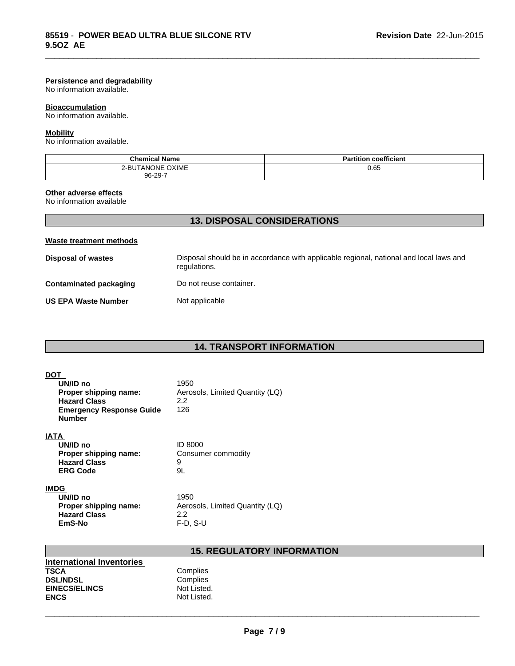#### **Persistence and degradability**

No information available.

# **Bioaccumulation**

No information available.

#### **Mobility**

No information available.

| <b>Chemical Name</b>                       | <br>coefficient |
|--------------------------------------------|-----------------|
| <b>OXIME</b><br>ONE<br>ים<br>. ANC<br>ו ה- | 0.65            |
| 96-29-7                                    |                 |

\_\_\_\_\_\_\_\_\_\_\_\_\_\_\_\_\_\_\_\_\_\_\_\_\_\_\_\_\_\_\_\_\_\_\_\_\_\_\_\_\_\_\_\_\_\_\_\_\_\_\_\_\_\_\_\_\_\_\_\_\_\_\_\_\_\_\_\_\_\_\_\_\_\_\_\_\_\_\_\_\_\_\_\_\_\_\_\_\_\_\_\_\_

# **Other adverse effects**

No information available

# **13. DISPOSAL CONSIDERATIONS**

## **Waste treatment methods**

| Disposal of wastes         | Disposal should be in accordance with applicable regional, national and local laws and<br>regulations. |
|----------------------------|--------------------------------------------------------------------------------------------------------|
| Contaminated packaging     | Do not reuse container.                                                                                |
| <b>US EPA Waste Number</b> | Not applicable                                                                                         |

# **14. TRANSPORT INFORMATION**

| <b>DOT</b><br>UN/ID no<br>Proper shipping name:<br><b>Hazard Class</b><br><b>Emergency Response Guide</b><br><b>Number</b> | 1950<br>Aerosols, Limited Quantity (LQ)<br>2.2<br>126        |
|----------------------------------------------------------------------------------------------------------------------------|--------------------------------------------------------------|
| <b>IATA</b><br>UN/ID no<br>Proper shipping name:<br><b>Hazard Class</b><br><b>ERG Code</b>                                 | <b>ID 8000</b><br>Consumer commodity<br>9<br>9L              |
| <b>IMDG</b><br>UN/ID no<br>Proper shipping name:<br><b>Hazard Class</b><br>EmS-No                                          | 1950<br>Aerosols, Limited Quantity (LQ)<br>2.2<br>$F-D, S-U$ |

# **15. REGULATORY INFORMATION**

| <b>International Inventories</b> |             |
|----------------------------------|-------------|
| TSCA                             | Complies    |
| <b>DSL/NDSL</b>                  | Complies    |
| <b>EINECS/ELINCS</b>             | Not Listed. |
| <b>ENCS</b>                      | Not Listed. |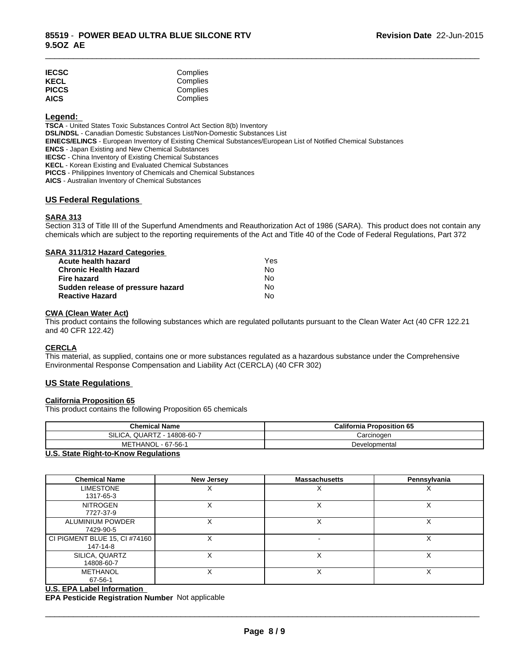| <b>IECSC</b> | Complies |
|--------------|----------|
| <b>KECL</b>  | Complies |
| <b>PICCS</b> | Complies |
| <b>AICS</b>  | Complies |

#### **Legend:**

**TSCA** - United States Toxic Substances Control Act Section 8(b) Inventory **DSL/NDSL** - Canadian Domestic Substances List/Non-Domestic Substances List **EINECS/ELINCS** - European Inventory of Existing Chemical Substances/European List of Notified Chemical Substances **ENCS** - Japan Existing and New Chemical Substances **IECSC** - China Inventory of Existing Chemical Substances **KECL** - Korean Existing and Evaluated Chemical Substances **PICCS** - Philippines Inventory of Chemicals and Chemical Substances **AICS** - Australian Inventory of Chemical Substances

### **US Federal Regulations**

# **SARA 313**

Section 313 of Title III of the Superfund Amendments and Reauthorization Act of 1986 (SARA). This product does not contain any chemicals which are subject to the reporting requirements of the Act and Title 40 of the Code of Federal Regulations, Part 372

\_\_\_\_\_\_\_\_\_\_\_\_\_\_\_\_\_\_\_\_\_\_\_\_\_\_\_\_\_\_\_\_\_\_\_\_\_\_\_\_\_\_\_\_\_\_\_\_\_\_\_\_\_\_\_\_\_\_\_\_\_\_\_\_\_\_\_\_\_\_\_\_\_\_\_\_\_\_\_\_\_\_\_\_\_\_\_\_\_\_\_\_\_

| SARA 311/312 Hazard Categories    |     |  |
|-----------------------------------|-----|--|
| Acute health hazard               | Yes |  |
| <b>Chronic Health Hazard</b>      | No  |  |
| <b>Fire hazard</b>                | No  |  |
| Sudden release of pressure hazard | No  |  |
| <b>Reactive Hazard</b>            | No  |  |

#### **CWA (Clean Water Act)**

This product contains the following substances which are regulated pollutants pursuant to the Clean Water Act (40 CFR 122.21 and 40 CFR 122.42)

#### **CERCLA**

This material, as supplied, contains one or more substances regulated as a hazardous substance under the Comprehensive Environmental Response Compensation and Liability Act (CERCLA) (40 CFR 302)

### **US State Regulations**

### **California Proposition 65**

This product contains the following Proposition 65 chemicals

| <b>Chemical Name</b>        | <b>California Proposition 65</b> |
|-----------------------------|----------------------------------|
| SILICA, QUARTZ - 14808-60-7 | Carcinogen                       |
| METHANOL - 67-56-1          | Developmental                    |

#### **U.S. State Right-to-Know Regulations**

| <b>Chemical Name</b>                      | <b>New Jersey</b> | <b>Massachusetts</b> | Pennsylvania |
|-------------------------------------------|-------------------|----------------------|--------------|
| <b>LIMESTONE</b><br>1317-65-3             |                   |                      |              |
| <b>NITROGEN</b><br>7727-37-9              | v                 | ∧                    | х            |
| ALUMINIUM POWDER<br>7429-90-5             |                   |                      | X            |
| CI PIGMENT BLUE 15, CI #74160<br>147-14-8 |                   |                      | х            |
| SILICA, QUARTZ<br>14808-60-7              | Χ                 | $\checkmark$         | X            |
| METHANOL<br>67-56-1                       |                   |                      | х            |

### **U.S. EPA Label Information**

**EPA Pesticide Registration Number** Not applicable